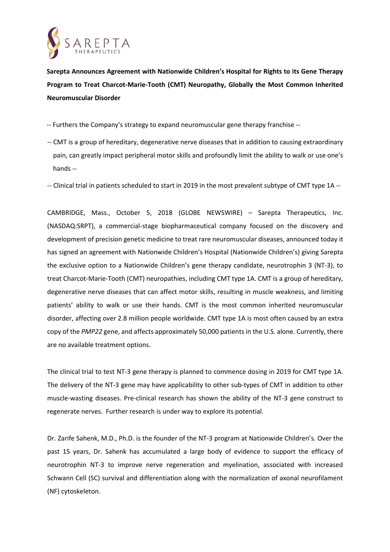

**Sarepta Announces Agreement with Nationwide Children's Hospital for Rights to its Gene Therapy Program to Treat Charcot-Marie-Tooth (CMT) Neuropathy, Globally the Most Common Inherited Neuromuscular Disorder**

- -- Furthers the Company's strategy to expand neuromuscular gene therapy franchise --
- -- CMT is a group of hereditary, degenerative nerve diseases that in addition to causing extraordinary pain, can greatly impact peripheral motor skills and profoundly limit the ability to walk or use one's hands --
- -- Clinical trial in patients scheduled to start in 2019 in the most prevalent subtype of CMT type 1A --

CAMBRIDGE, Mass., October 5, 2018 (GLOBE NEWSWIRE) – Sarepta Therapeutics, Inc. (NASDAQ:SRPT), a commercial-stage biopharmaceutical company focused on the discovery and development of precision genetic medicine to treat rare neuromuscular diseases, announced today it has signed an agreement with Nationwide Children's Hospital (Nationwide Children's) giving Sarepta the exclusive option to a Nationwide Children's gene therapy candidate, neurotrophin 3 (NT-3), to treat Charcot-Marie-Tooth (CMT) neuropathies, including CMT type 1A. CMT is a group of hereditary, degenerative nerve diseases that can affect motor skills, resulting in muscle weakness, and limiting patients' ability to walk or use their hands. CMT is the most common inherited neuromuscular disorder, affecting over 2.8 million people worldwide. CMT type 1A is most often caused by an extra copy of the *PMP22* gene, and affects approximately 50,000 patients in the U.S. alone. Currently, there are no available treatment options.

The clinical trial to test NT-3 gene therapy is planned to commence dosing in 2019 for CMT type 1A. The delivery of the NT-3 gene may have applicability to other sub-types of CMT in addition to other muscle-wasting diseases. Pre-clinical research has shown the ability of the NT-3 gene construct to regenerate nerves. Further research is under way to explore its potential.

Dr. Zarife Sahenk, M.D., Ph.D. is the founder of the NT-3 program at Nationwide Children's. Over the past 15 years, Dr. Sahenk has accumulated a large body of evidence to support the efficacy of neurotrophin NT-3 to improve nerve regeneration and myelination, associated with increased Schwann Cell (SC) survival and differentiation along with the normalization of axonal neurofilament (NF) cytoskeleton.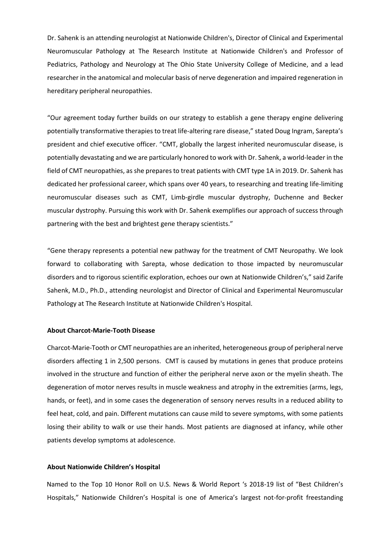Dr. Sahenk is an attending neurologist at Nationwide Children's, Director of Clinical and Experimental Neuromuscular Pathology at The Research Institute at Nationwide Children's and Professor of Pediatrics, Pathology and Neurology at The Ohio State University College of Medicine, and a lead researcher in the anatomical and molecular basis of nerve degeneration and impaired regeneration in hereditary peripheral neuropathies.

"Our agreement today further builds on our strategy to establish a gene therapy engine delivering potentially transformative therapies to treat life-altering rare disease," stated Doug Ingram, Sarepta's president and chief executive officer. "CMT, globally the largest inherited neuromuscular disease, is potentially devastating and we are particularly honored to work with Dr. Sahenk, a world-leader in the field of CMT neuropathies, as she prepares to treat patients with CMT type 1A in 2019. Dr. Sahenk has dedicated her professional career, which spans over 40 years, to researching and treating life-limiting neuromuscular diseases such as CMT, Limb-girdle muscular dystrophy, Duchenne and Becker muscular dystrophy. Pursuing this work with Dr. Sahenk exemplifies our approach of success through partnering with the best and brightest gene therapy scientists."

"Gene therapy represents a potential new pathway for the treatment of CMT Neuropathy. We look forward to collaborating with Sarepta, whose dedication to those impacted by neuromuscular disorders and to rigorous scientific exploration, echoes our own at Nationwide Children's," said Zarife Sahenk, M.D., Ph.D., attending neurologist and Director of Clinical and Experimental Neuromuscular Pathology at The Research Institute at Nationwide Children's Hospital.

#### **About Charcot-Marie-Tooth Disease**

Charcot-Marie-Tooth or CMT neuropathies are an inherited, heterogeneous group of peripheral nerve disorders affecting 1 in 2,500 persons. CMT is caused by mutations in genes that produce proteins involved in the structure and function of either the peripheral nerve axon or the myelin sheath. The degeneration of motor nerves results in muscle weakness and atrophy in the extremities (arms, legs, hands, or feet), and in some cases the degeneration of sensory nerves results in a reduced ability to feel heat, cold, and pain. Different mutations can cause mild to severe symptoms, with some patients losing their ability to walk or use their hands. Most patients are diagnosed at infancy, while other patients develop symptoms at adolescence.

#### **About Nationwide Children's Hospital**

Named to the Top 10 Honor Roll on U.S. News & World Report 's 2018-19 list of "Best Children's Hospitals," Nationwide Children's Hospital is one of America's largest not-for-profit freestanding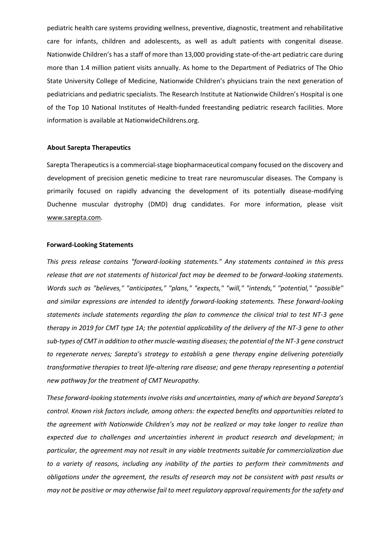pediatric health care systems providing wellness, preventive, diagnostic, treatment and rehabilitative care for infants, children and adolescents, as well as adult patients with congenital disease. Nationwide Children's has a staff of more than 13,000 providing state-of-the-art pediatric care during more than 1.4 million patient visits annually. As home to the Department of Pediatrics of The Ohio State University College of Medicine, Nationwide Children's physicians train the next generation of pediatricians and pediatric specialists. The Research Institute at Nationwide Children's Hospital is one of the Top 10 National Institutes of Health-funded freestanding pediatric research facilities. More information is available at NationwideChildrens.org.

## **About Sarepta Therapeutics**

Sarepta Therapeutics is a commercial-stage biopharmaceutical company focused on the discovery and development of precision genetic medicine to treat rare neuromuscular diseases. The Company is primarily focused on rapidly advancing the development of its potentially disease-modifying Duchenne muscular dystrophy (DMD) drug candidates. For more information, please visit [www.sarepta.com.](http://www.sarepta.com/)

## **Forward-Looking Statements**

*This press release contains "forward-looking statements." Any statements contained in this press release that are not statements of historical fact may be deemed to be forward-looking statements. Words such as "believes," "anticipates," "plans," "expects," "will," "intends," "potential," "possible" and similar expressions are intended to identify forward-looking statements. These forward-looking statements include statements regarding the plan to commence the clinical trial to test NT-3 gene therapy in 2019 for CMT type 1A; the potential applicability of the delivery of the NT-3 gene to other sub-types of CMT in addition to other muscle-wasting diseases; the potential of the NT-3 gene construct to regenerate nerves; Sarepta's strategy to establish a gene therapy engine delivering potentially transformative therapies to treat life-altering rare disease; and gene therapy representing a potential new pathway for the treatment of CMT Neuropathy.*

*These forward-looking statements involve risks and uncertainties, many of which are beyond Sarepta's control. Known risk factors include, among others: the expected benefits and opportunities related to the agreement with Nationwide Children's may not be realized or may take longer to realize than expected due to challenges and uncertainties inherent in product research and development; in particular, the agreement may not result in any viable treatments suitable for commercialization due to a variety of reasons, including any inability of the parties to perform their commitments and obligations under the agreement, the results of research may not be consistent with past results or may not be positive or may otherwise fail to meet regulatory approval requirements for the safety and*